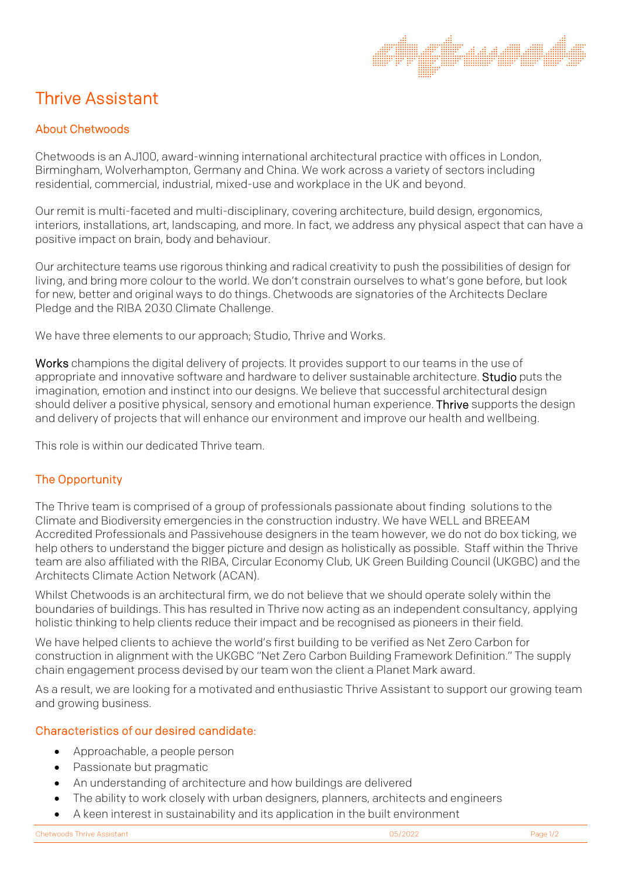# Thrive Assistant

## About Chetwoods

Chetwoods is an AJ100, award-winning international architectural practice with offices in London, Birmingham, Wolverhampton, Germany and China. We work across a variety of sectors including residential, commercial, industrial, mixed-use and workplace in the UK and beyond.

Our remit is multi-faceted and multi-disciplinary, covering architecture, build design, ergonomics, interiors, installations, art, landscaping, and more. In fact, we address any physical aspect that can have a positive impact on brain, body and behaviour.

Our architecture teams use rigorous thinking and radical creativity to push the possibilities of design for living, and bring more colour to the world. We don't constrain ourselves to what's gone before, but look for new, better and original ways to do things. Chetwoods are signatories of the Architects Declare Pledge and the RIBA 2030 Climate Challenge.

We have three elements to our approach; Studio, Thrive and Works.

Works champions the digital delivery of projects. It provides support to our teams in the use of appropriate and innovative software and hardware to deliver sustainable architecture. Studio puts the imagination, emotion and instinct into our designs. We believe that successful architectural design should deliver a positive physical, sensory and emotional human experience. Thrive supports the design and delivery of projects that will enhance our environment and improve our health and wellbeing.

This role is within our dedicated Thrive team.

## The Opportunity

The Thrive team is comprised of a group of professionals passionate about finding solutions to the Climate and Biodiversity emergencies in the construction industry. We have WELL and BREEAM Accredited Professionals and Passivehouse designers in the team however, we do not do box ticking, we help others to understand the bigger picture and design as holistically as possible. Staff within the Thrive team are also affiliated with the RIBA, Circular Economy Club, UK Green Building Council (UKGBC) and the Architects Climate Action Network (ACAN).

Whilst Chetwoods is an architectural firm, we do not believe that we should operate solely within the boundaries of buildings. This has resulted in Thrive now acting as an independent consultancy, applying holistic thinking to help clients reduce their impact and be recognised as pioneers in their field.

We have helped clients to achieve the world's first building to be verified as Net Zero Carbon for construction in alignment with the UKGBC "Net Zero Carbon Building Framework Definition." The supply chain engagement process devised by our team won the client a Planet Mark award.

As a result, we are looking for a motivated and enthusiastic Thrive Assistant to support our growing team and growing business.

## Characteristics of our desired candidate:

- Approachable, a people person
- Passionate but pragmatic
- An understanding of architecture and how buildings are delivered
- The ability to work closely with urban designers, planners, architects and engineers
- A keen interest in sustainability and its application in the built environment